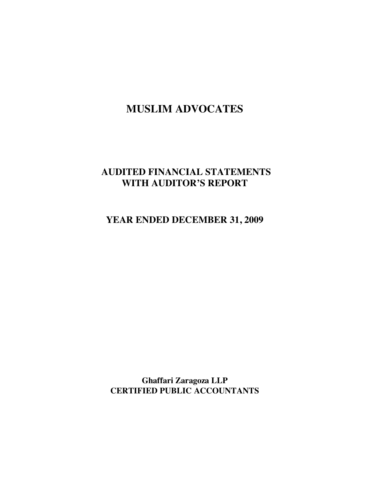# **AUDITED FINANCIAL STATEMENTS WITH AUDITOR'S REPORT**

**YEAR ENDED DECEMBER 31, 2009** 

**Ghaffari Zaragoza LLP CERTIFIED PUBLIC ACCOUNTANTS**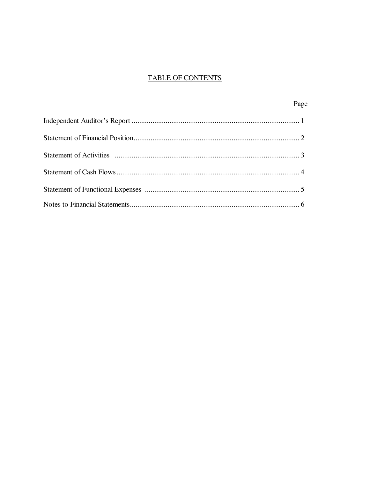# **TABLE OF CONTENTS**

| Page |  |
|------|--|
|      |  |
|      |  |
|      |  |
|      |  |
|      |  |
|      |  |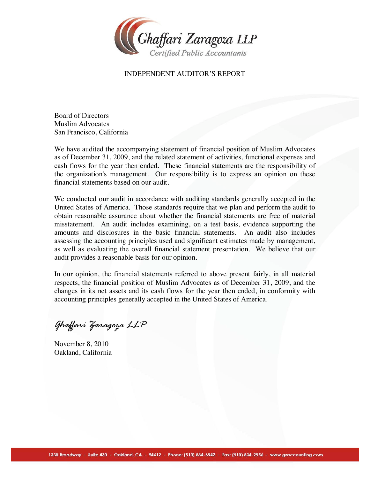

### INDEPENDENT AUDITOR'S REPORT

Board of Directors Muslim Advocates San Francisco, California

We have audited the accompanying statement of financial position of Muslim Advocates as of December 31, 2009, and the related statement of activities, functional expenses and cash flows for the year then ended. These financial statements are the responsibility of the organization's management. Our responsibility is to express an opinion on these financial statements based on our audit.

We conducted our audit in accordance with auditing standards generally accepted in the United States of America. Those standards require that we plan and perform the audit to obtain reasonable assurance about whether the financial statements are free of material misstatement. An audit includes examining, on a test basis, evidence supporting the amounts and disclosures in the basic financial statements. An audit also includes assessing the accounting principles used and significant estimates made by management, as well as evaluating the overall financial statement presentation. We believe that our audit provides a reasonable basis for our opinion.

In our opinion, the financial statements referred to above present fairly, in all material respects, the financial position of Muslim Advocates as of December 31, 2009, and the changes in its net assets and its cash flows for the year then ended, in conformity with accounting principles generally accepted in the United States of America.

*Ghaffari Zaragoza LLP*

November 8, 2010 Oakland, California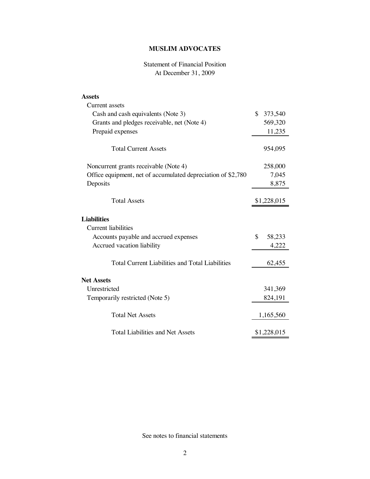# Statement of Financial Position At December 31, 2009

| Assets                                                       |               |
|--------------------------------------------------------------|---------------|
| Current assets                                               |               |
| Cash and cash equivalents (Note 3)                           | \$<br>373,540 |
| Grants and pledges receivable, net (Note 4)                  | 569,320       |
| Prepaid expenses                                             | 11,235        |
| <b>Total Current Assets</b>                                  | 954,095       |
| Noncurrent grants receivable (Note 4)                        | 258,000       |
| Office equipment, net of accumulated depreciation of \$2,780 | 7,045         |
| Deposits                                                     | 8,875         |
| <b>Total Assets</b>                                          | \$1,228,015   |
| <b>Liabilities</b><br><b>Current liabilities</b>             |               |
| Accounts payable and accrued expenses                        | \$<br>58,233  |
| Accrued vacation liability                                   | 4,222         |
|                                                              |               |
| <b>Total Current Liabilities and Total Liabilities</b>       | 62,455        |
| <b>Net Assets</b>                                            |               |
| Unrestricted                                                 | 341,369       |
| Temporarily restricted (Note 5)                              | 824,191       |
| <b>Total Net Assets</b>                                      | 1,165,560     |
| <b>Total Liabilities and Net Assets</b>                      | \$1,228,015   |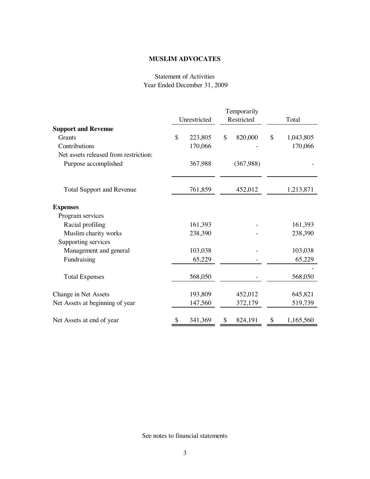## Statement of Activities Year Ended December 31, 2009

|                                       | Temporarily |              |    |            |    |           |
|---------------------------------------|-------------|--------------|----|------------|----|-----------|
|                                       |             | Unrestricted |    | Restricted |    | Total     |
| <b>Support and Revenue</b>            |             |              |    |            |    |           |
| Grants                                | \$          | 223,805      | \$ | 820,000    | \$ | 1,043,805 |
| Contributions                         |             | 170,066      |    |            |    | 170,066   |
| Net assets released from restriction: |             |              |    |            |    |           |
| Purpose accomplished                  |             | 367,988      |    | (367,988)  |    |           |
| <b>Total Support and Revenue</b>      |             | 761,859      |    | 452,012    |    | 1,213,871 |
|                                       |             |              |    |            |    |           |
| <b>Expenses</b>                       |             |              |    |            |    |           |
| Program services                      |             |              |    |            |    |           |
| Racial profiling                      |             | 161,393      |    |            |    | 161,393   |
| Muslim charity works                  |             | 238,390      |    |            |    | 238,390   |
| Supporting services                   |             |              |    |            |    |           |
| Management and general                |             | 103,038      |    |            |    | 103,038   |
| Fundraising                           |             | 65,229       |    |            |    | 65,229    |
|                                       |             |              |    |            |    |           |
| <b>Total Expenses</b>                 |             | 568,050      |    |            |    | 568,050   |
| Change in Net Assets                  |             | 193,809      |    | 452,012    |    | 645,821   |
| Net Assets at beginning of year       |             | 147,560      |    | 372,179    |    | 519,739   |
| Net Assets at end of year             |             | 341,369      | \$ | 824,191    | \$ | 1,165,560 |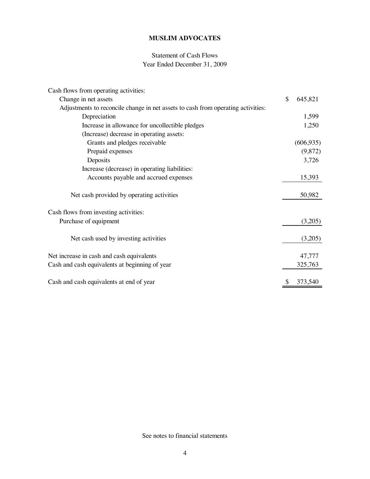# Statement of Cash Flows Year Ended December 31, 2009

| Cash flows from operating activities:                                            |               |
|----------------------------------------------------------------------------------|---------------|
| Change in net assets                                                             | \$<br>645,821 |
| Adjustments to reconcile change in net assets to cash from operating activities: |               |
| Depreciation                                                                     | 1,599         |
| Increase in allowance for uncollectible pledges                                  | 1,250         |
| (Increase) decrease in operating assets:                                         |               |
| Grants and pledges receivable                                                    | (606, 935)    |
| Prepaid expenses                                                                 | (9,872)       |
| Deposits                                                                         | 3,726         |
| Increase (decrease) in operating liabilities:                                    |               |
| Accounts payable and accrued expenses                                            | 15,393        |
| Net cash provided by operating activities                                        | 50,982        |
| Cash flows from investing activities:                                            |               |
| Purchase of equipment                                                            | (3,205)       |
| Net cash used by investing activities                                            | (3,205)       |
| Net increase in cash and cash equivalents                                        | 47,777        |
| Cash and cash equivalents at beginning of year                                   | 325,763       |
| Cash and cash equivalents at end of year                                         | \$<br>373,540 |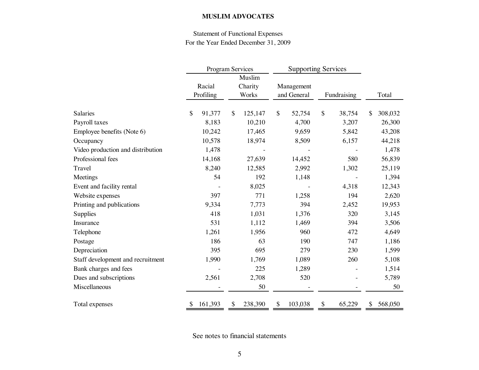# Statement of Functional Expenses For the Year Ended December 31, 2009

|                                   | <b>Program Services</b> |                            | <b>Supporting Services</b> |              |               |
|-----------------------------------|-------------------------|----------------------------|----------------------------|--------------|---------------|
|                                   | Racial<br>Profiling     | Muslim<br>Charity<br>Works | Management<br>and General  | Fundraising  | Total         |
| Salaries                          | 91,377<br>\$            | \$<br>125,147              | \$<br>52,754               | \$<br>38,754 | 308,032<br>\$ |
| Payroll taxes                     | 8,183                   | 10,210                     | 4,700                      | 3,207        | 26,300        |
| Employee benefits (Note 6)        | 10,242                  | 17,465                     | 9,659                      | 5,842        | 43,208        |
| Occupancy                         | 10,578                  | 18,974                     | 8,509                      | 6,157        | 44,218        |
| Video production and distribution | 1,478                   |                            |                            |              | 1,478         |
| Professional fees                 | 14,168                  | 27,639                     | 14,452                     | 580          | 56,839        |
| Travel                            | 8,240                   | 12,585                     | 2,992                      | 1,302        | 25,119        |
| Meetings                          | 54                      | 192                        | 1,148                      |              | 1,394         |
| Event and facility rental         |                         | 8,025                      |                            | 4,318        | 12,343        |
| Website expenses                  | 397                     | 771                        | 1,258                      | 194          | 2,620         |
| Printing and publications         | 9,334                   | 7,773                      | 394                        | 2,452        | 19,953        |
| Supplies                          | 418                     | 1,031                      | 1,376                      | 320          | 3,145         |
| Insurance                         | 531                     | 1,112                      | 1,469                      | 394          | 3,506         |
| Telephone                         | 1,261                   | 1,956                      | 960                        | 472          | 4,649         |
| Postage                           | 186                     | 63                         | 190                        | 747          | 1,186         |
| Depreciation                      | 395                     | 695                        | 279                        | 230          | 1,599         |
| Staff development and recruitment | 1,990                   | 1,769                      | 1,089                      | 260          | 5,108         |
| Bank charges and fees             |                         | 225                        | 1,289                      |              | 1,514         |
| Dues and subscriptions            | 2,561                   | 2,708                      | 520                        |              | 5,789         |
| Miscellaneous                     |                         | 50                         |                            |              | 50            |
| Total expenses                    | 161,393                 | 238,390<br>\$              | \$<br>103,038              | \$<br>65,229 | 568,050<br>\$ |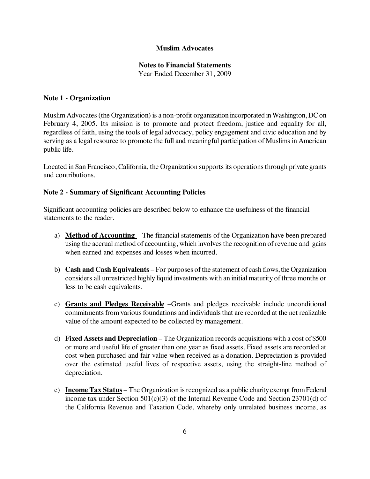### **Notes to Financial Statements**

Year Ended December 31, 2009

### **Note 1 - Organization**

Muslim Advocates(the Organization) is a non-profit organization incorporated inWashington, DCon February 4, 2005. Its mission is to promote and protect freedom, justice and equality for all, regardless of faith, using the tools of legal advocacy, policy engagement and civic education and by serving as a legal resource to promote the full and meaningful participation of Muslims in American public life.

Located in San Francisco, California, the Organization supports its operations through private grants and contributions.

## **Note 2 - Summary of Significant Accounting Policies**

Significant accounting policies are described below to enhance the usefulness of the financial statements to the reader.

- a) **Method of Accounting**  The financial statements of the Organization have been prepared using the accrual method of accounting, which involves the recognition of revenue and gains when earned and expenses and losses when incurred.
- b) **Cash and Cash Equivalents** For purposes of the statement of cash flows, the Organization considers all unrestricted highly liquid investments with an initial maturity of three months or less to be cash equivalents.
- c) **Grants and Pledges Receivable** –Grants and pledges receivable include unconditional commitments from various foundations and individuals that are recorded at the net realizable value of the amount expected to be collected by management.
- d) **Fixed Assets and Depreciation** The Organization records acquisitions with a cost of \$500 or more and useful life of greater than one year as fixed assets. Fixed assets are recorded at cost when purchased and fair value when received as a donation. Depreciation is provided over the estimated useful lives of respective assets, using the straight-line method of depreciation.
- e) **Income Tax Status** The Organization isrecognized as a public charityexempt fromFederal income tax under Section  $501(c)(3)$  of the Internal Revenue Code and Section 23701(d) of the California Revenue and Taxation Code, whereby only unrelated business income, as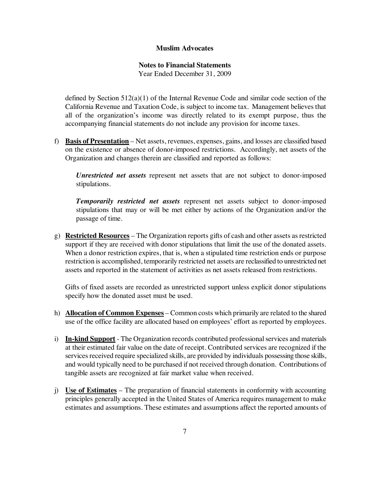#### **Notes to Financial Statements**

Year Ended December 31, 2009

defined by Section 512(a)(1) of the Internal Revenue Code and similar code section of the California Revenue and Taxation Code, is subject to income tax. Management believes that all of the organization's income was directly related to its exempt purpose, thus the accompanying financial statements do not include any provision for income taxes.

f) **Basis of Presentation** – Net assets, revenues, expenses, gains, and losses are classified based on the existence or absence of donor-imposed restrictions. Accordingly, net assets of the Organization and changes therein are classified and reported as follows:

*Unrestricted net assets* represent net assets that are not subject to donor-imposed stipulations.

*Temporarily restricted net assets* represent net assets subject to donor-imposed stipulations that may or will be met either by actions of the Organization and/or the passage of time.

g) **Restricted Resources** – The Organization reports gifts of cash and other assets asrestricted support if they are received with donor stipulations that limit the use of the donated assets. When a donor restriction expires, that is, when a stipulated time restriction ends or purpose restriction is accomplished, temporarily restricted net assets are reclassified to unrestricted net assets and reported in the statement of activities as net assets released from restrictions.

Gifts of fixed assets are recorded as unrestricted support unless explicit donor stipulations specify how the donated asset must be used.

- h) **Allocation of Common Expenses** Common costs which primarily are related to the shared use of the office facility are allocated based on employees' effort as reported by employees.
- i) **In-kind Support** The Organization records contributed professional services and materials at their estimated fair value on the date of receipt. Contributed services are recognized if the services received require specialized skills, are provided by individuals possessing those skills, and would typically need to be purchased if not received through donation. Contributions of tangible assets are recognized at fair market value when received.
- j) **Use of Estimates** The preparation of financial statements in conformity with accounting principles generally accepted in the United States of America requires management to make estimates and assumptions. These estimates and assumptions affect the reported amounts of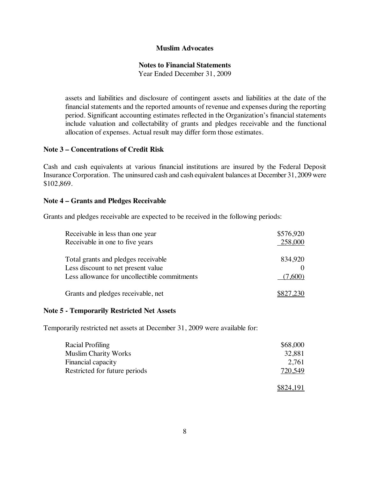#### **Notes to Financial Statements**

Year Ended December 31, 2009

assets and liabilities and disclosure of contingent assets and liabilities at the date of the financial statements and the reported amounts of revenue and expenses during the reporting period. Significant accounting estimates reflected in the Organization's financial statements include valuation and collectability of grants and pledges receivable and the functional allocation of expenses. Actual result may differ form those estimates.

#### **Note 3 – Concentrations of Credit Risk**

Cash and cash equivalents at various financial institutions are insured by the Federal Deposit Insurance Corporation. The uninsured cash and cash equivalent balances at December 31, 2009 were \$102,869.

#### **Note 4 – Grants and Pledges Receivable**

Grants and pledges receivable are expected to be received in the following periods:

| Receivable in less than one year             | \$576,920 |
|----------------------------------------------|-----------|
| Receivable in one to five years              | 258,000   |
|                                              |           |
| Total grants and pledges receivable          | 834,920   |
| Less discount to net present value           |           |
| Less allowance for uncollectible commitments | (7.600)   |
|                                              |           |
| Grants and pledges receivable, net           | \$827,230 |

#### **Note 5 - Temporarily Restricted Net Assets**

Temporarily restricted net assets at December 31, 2009 were available for:

| Racial Profiling              | \$68,000 |
|-------------------------------|----------|
| <b>Muslim Charity Works</b>   | 32,881   |
| Financial capacity            | 2.761    |
| Restricted for future periods | 720,549  |
|                               |          |

 $$824,191$